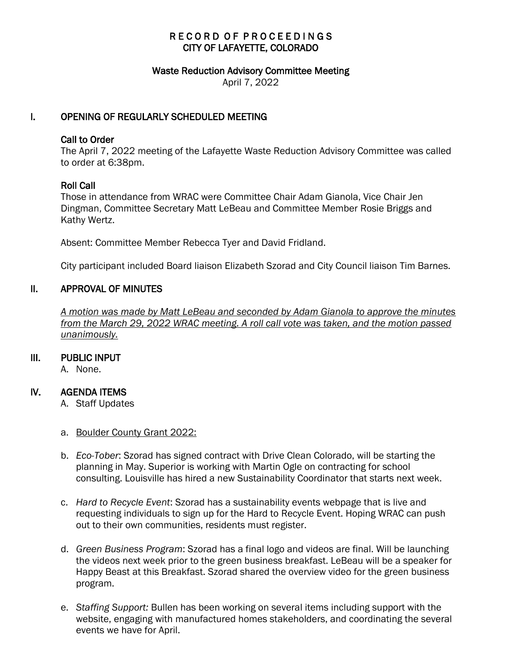# RECORD OF PROCEEDINGS CITY OF LAFAYETTE, COLORADO

#### Waste Reduction Advisory Committee Meeting

April 7, 2022

### I. OPENING OF REGULARLY SCHEDULED MEETING

### Call to Order

The April 7, 2022 meeting of the Lafayette Waste Reduction Advisory Committee was called to order at 6:38pm.

### Roll Call

Those in attendance from WRAC were Committee Chair Adam Gianola, Vice Chair Jen Dingman, Committee Secretary Matt LeBeau and Committee Member Rosie Briggs and Kathy Wertz.

Absent: Committee Member Rebecca Tyer and David Fridland.

City participant included Board liaison Elizabeth Szorad and City Council liaison Tim Barnes.

### II. APPROVAL OF MINUTES

 *A motion was made by Matt LeBeau and seconded by Adam Gianola to approve the minutes from the March 29, 2022 WRAC meeting. A roll call vote was taken, and the motion passed unanimously.*

### III. PUBLIC INPUT

A. None.

### IV. AGENDA ITEMS

- A. Staff Updates
- a. Boulder County Grant 2022:
- b. *Eco-Tober*: Szorad has signed contract with Drive Clean Colorado, will be starting the planning in May. Superior is working with Martin Ogle on contracting for school consulting. Louisville has hired a new Sustainability Coordinator that starts next week.
- c. *Hard to Recycle Event*: Szorad has a sustainability events webpage that is live and requesting individuals to sign up for the Hard to Recycle Event. Hoping WRAC can push out to their own communities, residents must register.
- d. *Green Business Program*: Szorad has a final logo and videos are final. Will be launching the videos next week prior to the green business breakfast. LeBeau will be a speaker for Happy Beast at this Breakfast. Szorad shared the overview video for the green business program.
- e. *Staffing Support:* Bullen has been working on several items including support with the website, engaging with manufactured homes stakeholders, and coordinating the several events we have for April.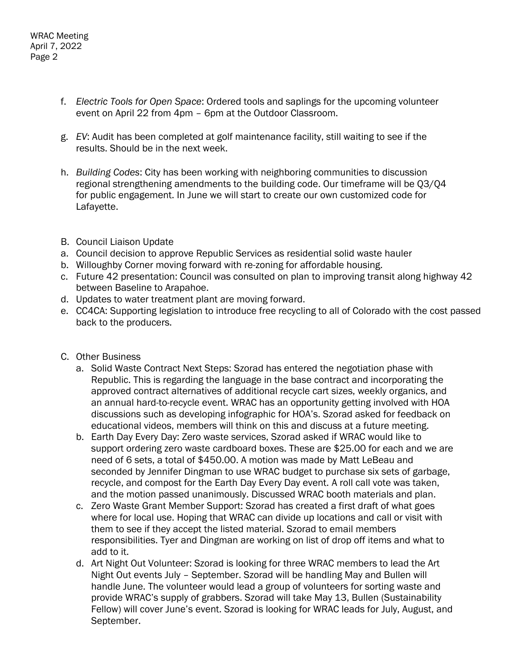- f. *Electric Tools for Open Space*: Ordered tools and saplings for the upcoming volunteer event on April 22 from 4pm – 6pm at the Outdoor Classroom.
- g. *EV*: Audit has been completed at golf maintenance facility, still waiting to see if the results. Should be in the next week.
- h. *Building Codes*: City has been working with neighboring communities to discussion regional strengthening amendments to the building code. Our timeframe will be Q3/Q4 for public engagement. In June we will start to create our own customized code for Lafayette.
- B. Council Liaison Update
- a. Council decision to approve Republic Services as residential solid waste hauler
- b. Willoughby Corner moving forward with re-zoning for affordable housing.
- c. Future 42 presentation: Council was consulted on plan to improving transit along highway 42 between Baseline to Arapahoe.
- d. Updates to water treatment plant are moving forward.
- e. CC4CA: Supporting legislation to introduce free recycling to all of Colorado with the cost passed back to the producers.
- C. Other Business
	- a. Solid Waste Contract Next Steps: Szorad has entered the negotiation phase with Republic. This is regarding the language in the base contract and incorporating the approved contract alternatives of additional recycle cart sizes, weekly organics, and an annual hard-to-recycle event. WRAC has an opportunity getting involved with HOA discussions such as developing infographic for HOA's. Szorad asked for feedback on educational videos, members will think on this and discuss at a future meeting.
	- b. Earth Day Every Day: Zero waste services, Szorad asked if WRAC would like to support ordering zero waste cardboard boxes. These are \$25.00 for each and we are need of 6 sets, a total of \$450.00. A motion was made by Matt LeBeau and seconded by Jennifer Dingman to use WRAC budget to purchase six sets of garbage, recycle, and compost for the Earth Day Every Day event. A roll call vote was taken, and the motion passed unanimously. Discussed WRAC booth materials and plan.
	- c. Zero Waste Grant Member Support: Szorad has created a first draft of what goes where for local use. Hoping that WRAC can divide up locations and call or visit with them to see if they accept the listed material. Szorad to email members responsibilities. Tyer and Dingman are working on list of drop off items and what to add to it.
	- d. Art Night Out Volunteer: Szorad is looking for three WRAC members to lead the Art Night Out events July – September. Szorad will be handling May and Bullen will handle June. The volunteer would lead a group of volunteers for sorting waste and provide WRAC's supply of grabbers. Szorad will take May 13, Bullen (Sustainability Fellow) will cover June's event. Szorad is looking for WRAC leads for July, August, and September.